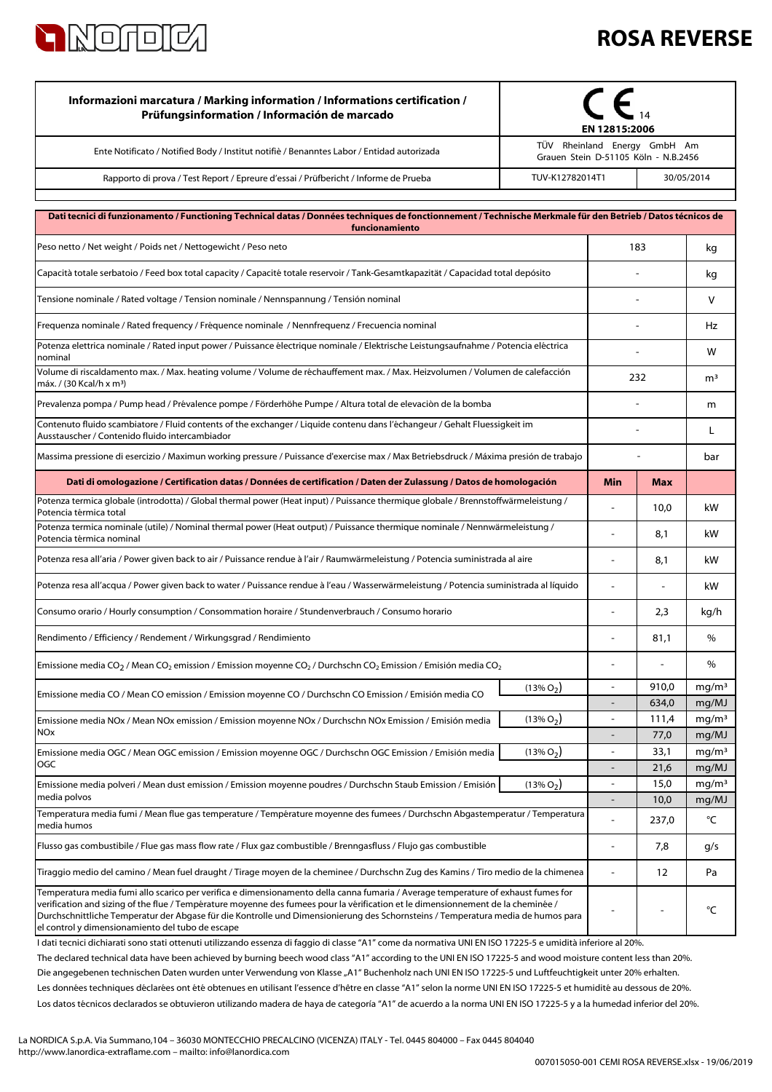

## **ROSA REVERSE**

| Informazioni marcatura / Marking information / Informations certification /<br>Prüfungsinformation / Información de marcado                                                                                                                                                                                                                                                                                                                                   | EN 12815:2006                                                        |                                                      |                |                            |
|---------------------------------------------------------------------------------------------------------------------------------------------------------------------------------------------------------------------------------------------------------------------------------------------------------------------------------------------------------------------------------------------------------------------------------------------------------------|----------------------------------------------------------------------|------------------------------------------------------|----------------|----------------------------|
| Ente Notificato / Notified Body / Institut notifiè / Benanntes Labor / Entidad autorizada                                                                                                                                                                                                                                                                                                                                                                     | TÜV Rheinland Energy GmbH Am<br>Grauen Stein D-51105 Köln - N.B.2456 |                                                      |                |                            |
| Rapporto di prova / Test Report / Epreure d'essai / Prüfbericht / Informe de Prueba                                                                                                                                                                                                                                                                                                                                                                           | 30/05/2014<br>TUV-K12782014T1                                        |                                                      |                |                            |
| Dati tecnici di funzionamento / Functioning Technical datas / Données techniques de fonctionnement / Technische Merkmale für den Betrieb / Datos técnicos de<br>funcionamiento                                                                                                                                                                                                                                                                                |                                                                      |                                                      |                |                            |
| Peso netto / Net weight / Poids net / Nettogewicht / Peso neto                                                                                                                                                                                                                                                                                                                                                                                                |                                                                      | 183                                                  |                | kg                         |
| Capacità totale serbatoio / Feed box total capacity / Capacité totale reservoir / Tank-Gesamtkapazität / Capacidad total depósito                                                                                                                                                                                                                                                                                                                             |                                                                      |                                                      |                | kg                         |
| Tensione nominale / Rated voltage / Tension nominale / Nennspannung / Tensión nominal                                                                                                                                                                                                                                                                                                                                                                         |                                                                      |                                                      |                | V                          |
| Frequenza nominale / Rated frequency / Fréquence nominale / Nennfrequenz / Frecuencia nominal                                                                                                                                                                                                                                                                                                                                                                 |                                                                      |                                                      |                |                            |
| Potenza elettrica nominale / Rated input power / Puissance électrique nominale / Elektrische Leistungsaufnahme / Potencia eléctrica<br>nominal                                                                                                                                                                                                                                                                                                                |                                                                      |                                                      |                |                            |
| Volume di riscaldamento max. / Max. heating volume / Volume de réchauffement max. / Max. Heizvolumen / Volumen de calefacción<br>máx. / (30 Kcal/h x m <sup>3</sup> )                                                                                                                                                                                                                                                                                         |                                                                      |                                                      | 232            |                            |
| Prevalenza pompa / Pump head / Prévalence pompe / Förderhöhe Pumpe / Altura total de elevaciòn de la bomba                                                                                                                                                                                                                                                                                                                                                    |                                                                      |                                                      |                |                            |
| Contenuto fluido scambiatore / Fluid contents of the exchanger / Liquide contenu dans l'échangeur / Gehalt Fluessigkeit im<br>Ausstauscher / Contenido fluido intercambiador                                                                                                                                                                                                                                                                                  |                                                                      |                                                      |                | L                          |
| Massima pressione di esercizio / Maximun working pressure / Puissance d'exercise max / Max Betriebsdruck / Máxima presión de trabajo                                                                                                                                                                                                                                                                                                                          |                                                                      |                                                      |                | bar                        |
| Dati di omologazione / Certification datas / Données de certification / Daten der Zulassung / Datos de homologación                                                                                                                                                                                                                                                                                                                                           |                                                                      | Min                                                  | <b>Max</b>     |                            |
| Potenza termica globale (introdotta) / Global thermal power (Heat input) / Puissance thermique globale / Brennstoffwärmeleistung /<br>Potencia térmica total                                                                                                                                                                                                                                                                                                  |                                                                      |                                                      | 10,0           | kW                         |
| Potenza termica nominale (utile) / Nominal thermal power (Heat output) / Puissance thermique nominale / Nennwärmeleistung /<br>Potencia térmica nominal                                                                                                                                                                                                                                                                                                       |                                                                      | $\overline{a}$                                       | 8,1            | kW                         |
| Potenza resa all'aria / Power given back to air / Puissance rendue à l'air / Raumwärmeleistung / Potencia suministrada al aire                                                                                                                                                                                                                                                                                                                                |                                                                      | Ē,                                                   | 8,1            | kW                         |
| Potenza resa all'acqua / Power given back to water / Puissance rendue à l'eau / Wasserwärmeleistung / Potencia suministrada al líquido                                                                                                                                                                                                                                                                                                                        |                                                                      | L,                                                   |                | kW                         |
| Consumo orario / Hourly consumption / Consommation horaire / Stundenverbrauch / Consumo horario                                                                                                                                                                                                                                                                                                                                                               |                                                                      |                                                      | 2,3            | kg/h                       |
| Rendimento / Efficiency / Rendement / Wirkungsgrad / Rendimiento                                                                                                                                                                                                                                                                                                                                                                                              |                                                                      |                                                      | 81,1           | %                          |
| Emissione media CO <sub>2</sub> / Mean CO <sub>2</sub> emission / Emission moyenne CO <sub>2</sub> / Durchschn CO <sub>2</sub> Emission / Emisión media CO <sub>2</sub>                                                                                                                                                                                                                                                                                       |                                                                      |                                                      |                | %                          |
| Emissione media CO / Mean CO emission / Emission moyenne CO / Durchschn CO Emission / Emisión media CO                                                                                                                                                                                                                                                                                                                                                        | $(13\% O2)$                                                          | $\overline{\phantom{0}}$<br>$\overline{\phantom{0}}$ | 910,0<br>634,0 | mg/m <sup>3</sup>          |
| Emissione media NOx / Mean NOx emission / Emission moyenne NOx / Durchschn NOx Emission / Emisión media                                                                                                                                                                                                                                                                                                                                                       | $(13\% O_2)$                                                         | ÷,                                                   | 111,4          | mg/MJ<br>mg/m <sup>3</sup> |
| <b>NOx</b>                                                                                                                                                                                                                                                                                                                                                                                                                                                    |                                                                      | ÷                                                    | 77,0           | mg/MJ                      |
| Emissione media OGC / Mean OGC emission / Emission moyenne OGC / Durchschn OGC Emission / Emisión media<br>OGC                                                                                                                                                                                                                                                                                                                                                | $(13\% O_2)$                                                         | $\overline{a}$<br>$\overline{a}$                     | 33,1<br>21,6   | mg/m <sup>3</sup><br>mg/MJ |
| Emissione media polveri / Mean dust emission / Emission moyenne poudres / Durchschn Staub Emission / Emisión                                                                                                                                                                                                                                                                                                                                                  | $(13\% O2)$                                                          | $\overline{\phantom{a}}$                             | 15,0           | mg/m <sup>3</sup>          |
| media polvos<br>Temperatura media fumi / Mean flue gas temperature / Température moyenne des fumees / Durchschn Abgastemperatur / Temperatura                                                                                                                                                                                                                                                                                                                 |                                                                      | $\overline{a}$                                       | 10,0           | mg/MJ                      |
| media humos                                                                                                                                                                                                                                                                                                                                                                                                                                                   |                                                                      |                                                      | 237,0          | °C                         |
| Flusso gas combustibile / Flue gas mass flow rate / Flux gaz combustible / Brenngasfluss / Flujo gas combustible                                                                                                                                                                                                                                                                                                                                              |                                                                      | $\overline{a}$                                       | 7,8            | g/s                        |
| Tiraggio medio del camino / Mean fuel draught / Tirage moyen de la cheminee / Durchschn Zug des Kamins / Tiro medio de la chimenea                                                                                                                                                                                                                                                                                                                            |                                                                      |                                                      | 12             | Pa                         |
| Temperatura media fumi allo scarico per verifica e dimensionamento della canna fumaria / Average temperature of exhaust fumes for<br>verification and sizing of the flue / Température moyenne des fumees pour la vérification et le dimensionnement de la cheminée /<br>Durchschnittliche Temperatur der Abgase für die Kontrolle und Dimensionierung des Schornsteins / Temperatura media de humos para<br>el control y dimensionamiento del tubo de escape |                                                                      |                                                      |                | °C                         |

Los datos técnicos declarados se obtuvieron utilizando madera de haya de categoría "A1" de acuerdo a la norma UNI EN ISO 17225-5 y a la humedad inferior del 20%. Les données techniques déclarées ont été obtenues en utilisant l'essence d'hêtre en classe "A1" selon la norme UNI EN ISO 17225-5 et humidité au dessous de 20%. I dati tecnici dichiarati sono stati ottenuti utilizzando essenza di faggio di classe "A1" come da normativa UNI EN ISO 17225-5 e umidità inferiore al 20%. Die angegebenen technischen Daten wurden unter Verwendung von Klasse "A1" Buchenholz nach UNI EN ISO 17225-5 und Luftfeuchtigkeit unter 20% erhalten. The declared technical data have been achieved by burning beech wood class "A1" according to the UNI EN ISO 17225-5 and wood moisture content less than 20%.